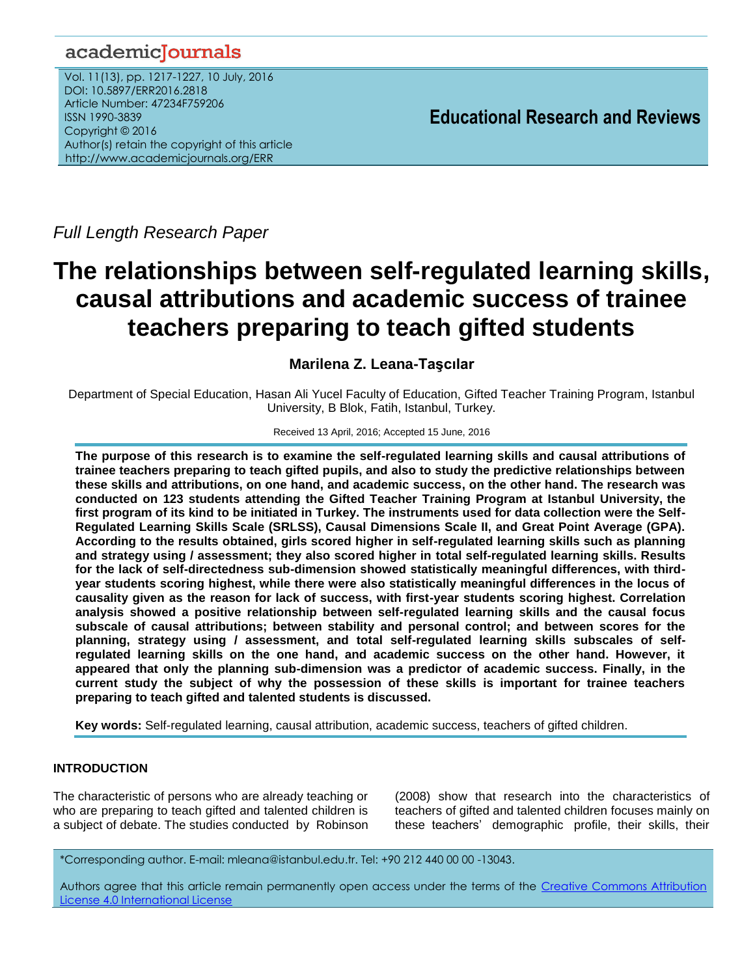## academicJournals

Vol. 11(13), pp. 1217-1227, 10 July, 2016 DOI: 10.5897/ERR2016.2818 Article Number: 47234F759206 ISSN 1990-3839 Copyright © 2016 Author(s) retain the copyright of this article http://www.academicjournals.org/ERR

**Educational Research and Reviews**

*Full Length Research Paper*

# **The relationships between self-regulated learning skills, causal attributions and academic success of trainee teachers preparing to teach gifted students**

## **Marilena Z. Leana-Taşcılar**

Department of Special Education, Hasan Ali Yucel Faculty of Education, Gifted Teacher Training Program, Istanbul University, B Blok, Fatih, Istanbul, Turkey.

#### Received 13 April, 2016; Accepted 15 June, 2016

**The purpose of this research is to examine the self-regulated learning skills and causal attributions of trainee teachers preparing to teach gifted pupils, and also to study the predictive relationships between these skills and attributions, on one hand, and academic success, on the other hand. The research was conducted on 123 students attending the Gifted Teacher Training Program at Istanbul University, the first program of its kind to be initiated in Turkey. The instruments used for data collection were the Self-Regulated Learning Skills Scale (SRLSS), Causal Dimensions Scale II, and Great Point Average (GPA). According to the results obtained, girls scored higher in self-regulated learning skills such as planning and strategy using / assessment; they also scored higher in total self-regulated learning skills. Results for the lack of self-directedness sub-dimension showed statistically meaningful differences, with thirdyear students scoring highest, while there were also statistically meaningful differences in the locus of causality given as the reason for lack of success, with first-year students scoring highest. Correlation analysis showed a positive relationship between self-regulated learning skills and the causal focus subscale of causal attributions; between stability and personal control; and between scores for the planning, strategy using / assessment, and total self-regulated learning skills subscales of selfregulated learning skills on the one hand, and academic success on the other hand. However, it appeared that only the planning sub-dimension was a predictor of academic success. Finally, in the current study the subject of why the possession of these skills is important for trainee teachers preparing to teach gifted and talented students is discussed.** 

**Key words:** Self-regulated learning, causal attribution, academic success, teachers of gifted children.

## **INTRODUCTION**

The characteristic of persons who are already teaching or who are preparing to teach gifted and talented children is a subject of debate. The studies conducted by Robinson (2008) show that research into the characteristics of teachers of gifted and talented children focuses mainly on these teachers' demographic profile, their skills, their

\*Corresponding author. E-mail: mleana@istanbul.edu.tr. Tel: +90 212 440 00 00 -13043.

Authors agree that this article remain permanently open access under the terms of the Creative Commons Attribution [License 4.0 International License](file://192.168.1.24/reading/Arts%20and%20Education/ERR/2014/sept/read/Correction%20Pdf%201/ERR-17.04.14-1816/Publication/Creative%20Co)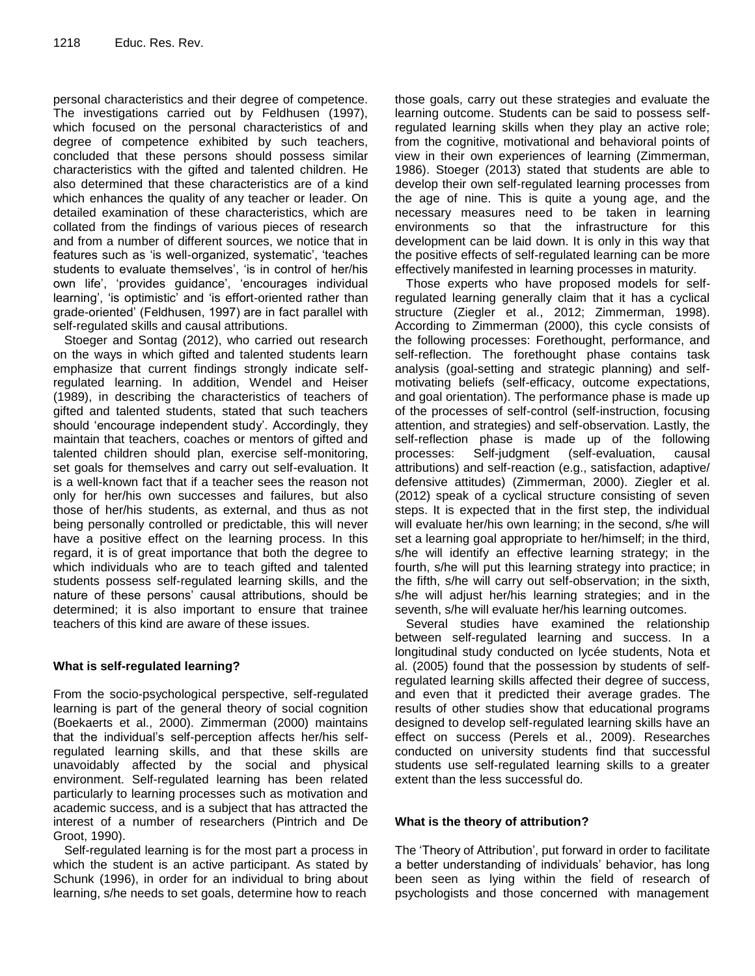personal characteristics and their degree of competence. The investigations carried out by Feldhusen (1997), which focused on the personal characteristics of and degree of competence exhibited by such teachers, concluded that these persons should possess similar characteristics with the gifted and talented children. He also determined that these characteristics are of a kind which enhances the quality of any teacher or leader. On detailed examination of these characteristics, which are collated from the findings of various pieces of research and from a number of different sources, we notice that in features such as 'is well-organized, systematic', 'teaches students to evaluate themselves', 'is in control of her/his own life', 'provides guidance', 'encourages individual learning', 'is optimistic' and 'is effort-oriented rather than grade-oriented' (Feldhusen, 1997) are in fact parallel with self-regulated skills and causal attributions.

Stoeger and Sontag (2012), who carried out research on the ways in which gifted and talented students learn emphasize that current findings strongly indicate selfregulated learning. In addition, Wendel and Heiser (1989), in describing the characteristics of teachers of gifted and talented students, stated that such teachers should 'encourage independent study'. Accordingly, they maintain that teachers, coaches or mentors of gifted and talented children should plan, exercise self-monitoring, set goals for themselves and carry out self-evaluation. It is a well-known fact that if a teacher sees the reason not only for her/his own successes and failures, but also those of her/his students, as external, and thus as not being personally controlled or predictable, this will never have a positive effect on the learning process. In this regard, it is of great importance that both the degree to which individuals who are to teach gifted and talented students possess self-regulated learning skills, and the nature of these persons' causal attributions, should be determined; it is also important to ensure that trainee teachers of this kind are aware of these issues.

## **What is self-regulated learning?**

From the socio-psychological perspective, self-regulated learning is part of the general theory of social cognition (Boekaerts et al., 2000). Zimmerman (2000) maintains that the individual's self-perception affects her/his selfregulated learning skills, and that these skills are unavoidably affected by the social and physical environment. Self-regulated learning has been related particularly to learning processes such as motivation and academic success, and is a subject that has attracted the interest of a number of researchers (Pintrich and De Groot, 1990).

Self-regulated learning is for the most part a process in which the student is an active participant. As stated by Schunk (1996), in order for an individual to bring about learning, s/he needs to set goals, determine how to reach those goals, carry out these strategies and evaluate the learning outcome. Students can be said to possess selfregulated learning skills when they play an active role; from the cognitive, motivational and behavioral points of view in their own experiences of learning (Zimmerman, 1986). Stoeger (2013) stated that students are able to develop their own self-regulated learning processes from the age of nine. This is quite a young age, and the necessary measures need to be taken in learning environments so that the infrastructure for this development can be laid down. It is only in this way that the positive effects of self-regulated learning can be more effectively manifested in learning processes in maturity.

Those experts who have proposed models for selfregulated learning generally claim that it has a cyclical structure (Ziegler et al., 2012; Zimmerman, 1998). According to Zimmerman (2000), this cycle consists of the following processes: Forethought, performance, and self-reflection. The forethought phase contains task analysis (goal-setting and strategic planning) and selfmotivating beliefs (self-efficacy, outcome expectations, and goal orientation). The performance phase is made up of the processes of self-control (self-instruction, focusing attention, and strategies) and self-observation. Lastly, the self-reflection phase is made up of the following processes: Self-judgment (self-evaluation, causal attributions) and self-reaction (e.g., satisfaction, adaptive/ defensive attitudes) (Zimmerman, 2000). Ziegler et al. (2012) speak of a cyclical structure consisting of seven steps. It is expected that in the first step, the individual will evaluate her/his own learning; in the second, s/he will set a learning goal appropriate to her/himself; in the third, s/he will identify an effective learning strategy; in the fourth, s/he will put this learning strategy into practice; in the fifth, s/he will carry out self-observation; in the sixth, s/he will adjust her/his learning strategies; and in the seventh, s/he will evaluate her/his learning outcomes.

Several studies have examined the relationship between self-regulated learning and success. In a longitudinal study conducted on lycée students, Nota et al. (2005) found that the possession by students of selfregulated learning skills affected their degree of success, and even that it predicted their average grades. The results of other studies show that educational programs designed to develop self-regulated learning skills have an effect on success (Perels et al., 2009). Researches conducted on university students find that successful students use self-regulated learning skills to a greater extent than the less successful do.

## **What is the theory of attribution?**

The 'Theory of Attribution', put forward in order to facilitate a better understanding of individuals' behavior, has long been seen as lying within the field of research of psychologists and those concerned with management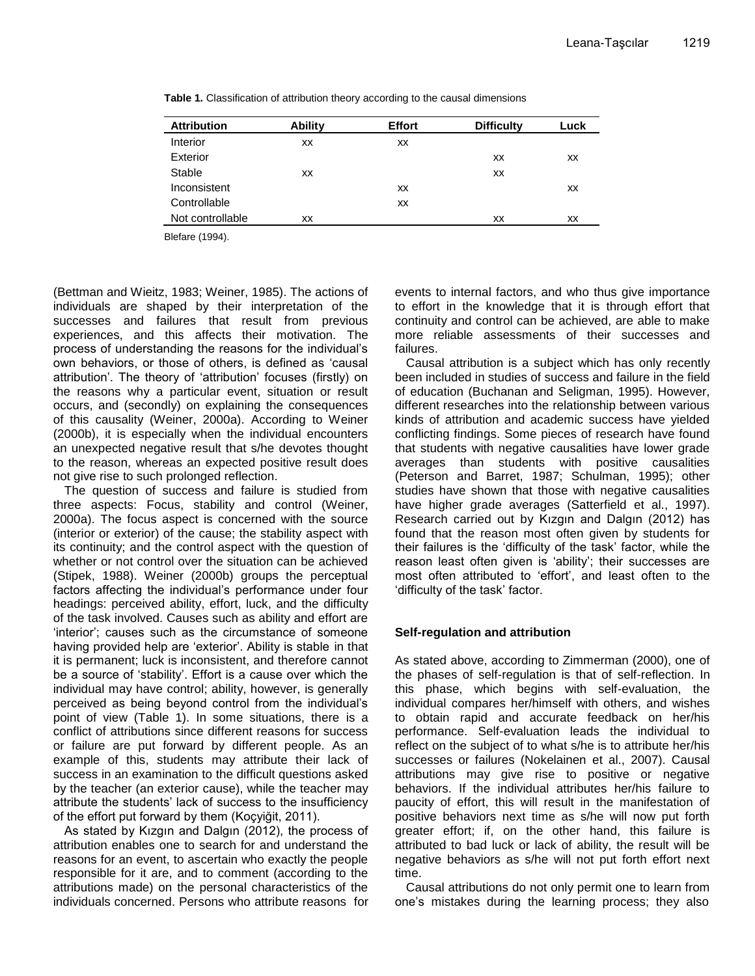| <b>Attribution</b> | <b>Ability</b> | <b>Effort</b> | <b>Difficulty</b> | Luck |
|--------------------|----------------|---------------|-------------------|------|
| Interior           | xх             | XX            |                   |      |
| Exterior           |                |               | XX                | XХ   |
| Stable             | xх             |               | XX                |      |
| Inconsistent       |                | XX            |                   | ХX   |
| Controllable       |                | XX            |                   |      |
| Not controllable   | xх             |               | XX                | XX   |
|                    |                |               |                   |      |

**Table 1.** Classification of attribution theory according to the causal dimensions

Blefare (1994).

(Bettman and Wieitz, 1983; Weiner, 1985). The actions of individuals are shaped by their interpretation of the successes and failures that result from previous experiences, and this affects their motivation. The process of understanding the reasons for the individual's own behaviors, or those of others, is defined as 'causal attribution'. The theory of 'attribution' focuses (firstly) on the reasons why a particular event, situation or result occurs, and (secondly) on explaining the consequences of this causality (Weiner, 2000a). According to Weiner (2000b), it is especially when the individual encounters an unexpected negative result that s/he devotes thought to the reason, whereas an expected positive result does not give rise to such prolonged reflection.

The question of success and failure is studied from three aspects: Focus, stability and control (Weiner, 2000a). The focus aspect is concerned with the source (interior or exterior) of the cause; the stability aspect with its continuity; and the control aspect with the question of whether or not control over the situation can be achieved (Stipek, 1988). Weiner (2000b) groups the perceptual factors affecting the individual's performance under four headings: perceived ability, effort, luck, and the difficulty of the task involved. Causes such as ability and effort are 'interior'; causes such as the circumstance of someone having provided help are 'exterior'. Ability is stable in that it is permanent; luck is inconsistent, and therefore cannot be a source of 'stability'. Effort is a cause over which the individual may have control; ability, however, is generally perceived as being beyond control from the individual's point of view (Table 1). In some situations, there is a conflict of attributions since different reasons for success or failure are put forward by different people. As an example of this, students may attribute their lack of success in an examination to the difficult questions asked by the teacher (an exterior cause), while the teacher may attribute the students' lack of success to the insufficiency of the effort put forward by them (Koçyiğit, 2011).

As stated by Kızgın and Dalgın (2012), the process of attribution enables one to search for and understand the reasons for an event, to ascertain who exactly the people responsible for it are, and to comment (according to the attributions made) on the personal characteristics of the individuals concerned. Persons who attribute reasons for events to internal factors, and who thus give importance to effort in the knowledge that it is through effort that continuity and control can be achieved, are able to make more reliable assessments of their successes and failures.

Causal attribution is a subject which has only recently been included in studies of success and failure in the field of education (Buchanan and Seligman, 1995). However, different researches into the relationship between various kinds of attribution and academic success have yielded conflicting findings. Some pieces of research have found that students with negative causalities have lower grade averages than students with positive causalities (Peterson and Barret, 1987; Schulman, 1995); other studies have shown that those with negative causalities have higher grade averages (Satterfield et al., 1997). Research carried out by Kızgın and Dalgın (2012) has found that the reason most often given by students for their failures is the 'difficulty of the task' factor, while the reason least often given is 'ability'; their successes are most often attributed to 'effort', and least often to the 'difficulty of the task' factor.

## **Self-regulation and attribution**

As stated above, according to Zimmerman (2000), one of the phases of self-regulation is that of self-reflection. In this phase, which begins with self-evaluation, the individual compares her/himself with others, and wishes to obtain rapid and accurate feedback on her/his performance. Self-evaluation leads the individual to reflect on the subject of to what s/he is to attribute her/his successes or failures (Nokelainen et al., 2007). Causal attributions may give rise to positive or negative behaviors. If the individual attributes her/his failure to paucity of effort, this will result in the manifestation of positive behaviors next time as s/he will now put forth greater effort; if, on the other hand, this failure is attributed to bad luck or lack of ability, the result will be negative behaviors as s/he will not put forth effort next time.

Causal attributions do not only permit one to learn from one's mistakes during the learning process; they also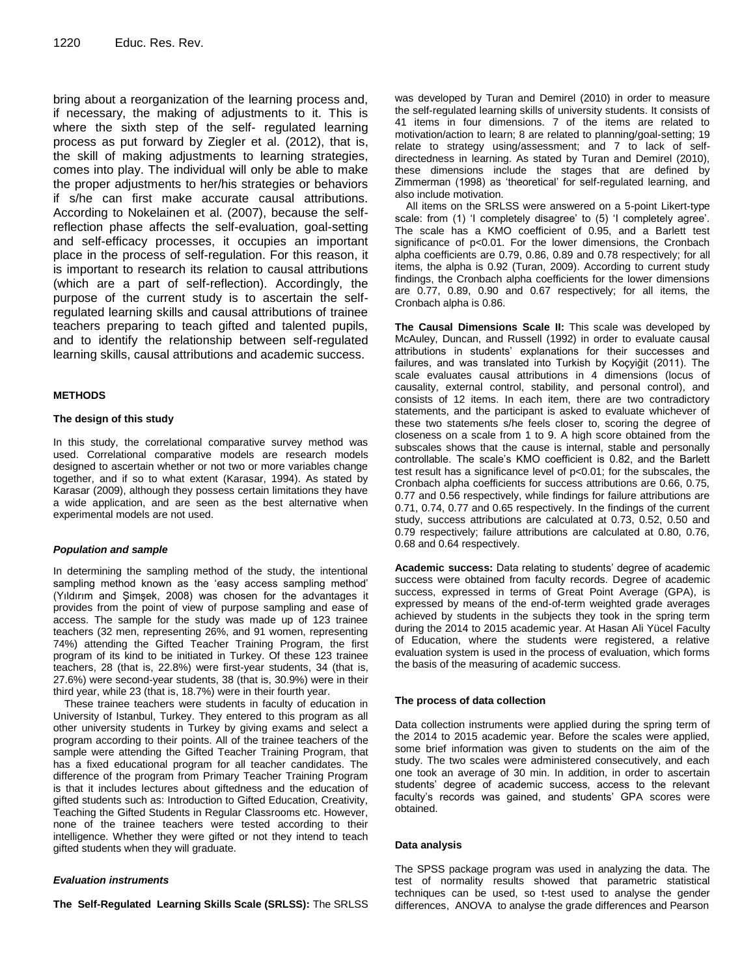bring about a reorganization of the learning process and, if necessary, the making of adjustments to it. This is where the sixth step of the self- regulated learning process as put forward by Ziegler et al. (2012), that is, the skill of making adjustments to learning strategies, comes into play. The individual will only be able to make the proper adjustments to her/his strategies or behaviors if s/he can first make accurate causal attributions. According to Nokelainen et al. (2007), because the selfreflection phase affects the self-evaluation, goal-setting and self-efficacy processes, it occupies an important place in the process of self-regulation. For this reason, it is important to research its relation to causal attributions (which are a part of self-reflection). Accordingly, the purpose of the current study is to ascertain the selfregulated learning skills and causal attributions of trainee teachers preparing to teach gifted and talented pupils, and to identify the relationship between self-regulated learning skills, causal attributions and academic success.

#### **METHODS**

#### **The design of this study**

In this study, the correlational comparative survey method was used. Correlational comparative models are research models designed to ascertain whether or not two or more variables change together, and if so to what extent (Karasar, 1994). As stated by Karasar (2009), although they possess certain limitations they have a wide application, and are seen as the best alternative when experimental models are not used.

#### *Population and sample*

In determining the sampling method of the study, the intentional sampling method known as the 'easy access sampling method' (Yıldırım and Şimşek, 2008) was chosen for the advantages it provides from the point of view of purpose sampling and ease of access. The sample for the study was made up of 123 trainee teachers (32 men, representing 26%, and 91 women, representing 74%) attending the Gifted Teacher Training Program, the first program of its kind to be initiated in Turkey. Of these 123 trainee teachers, 28 (that is, 22.8%) were first-year students, 34 (that is, 27.6%) were second-year students, 38 (that is, 30.9%) were in their third year, while 23 (that is, 18.7%) were in their fourth year.

These trainee teachers were students in faculty of education in University of Istanbul, Turkey. They entered to this program as all other university students in Turkey by giving exams and select a program according to their points. All of the trainee teachers of the sample were attending the Gifted Teacher Training Program, that has a fixed educational program for all teacher candidates. The difference of the program from Primary Teacher Training Program is that it includes lectures about giftedness and the education of gifted students such as: Introduction to Gifted Education, Creativity, Teaching the Gifted Students in Regular Classrooms etc. However, none of the trainee teachers were tested according to their intelligence. Whether they were gifted or not they intend to teach gifted students when they will graduate.

#### *Evaluation instruments*

**The Self-Regulated Learning Skills Scale (SRLSS):** The SRLSS

was developed by Turan and Demirel (2010) in order to measure the self-regulated learning skills of university students. It consists of 41 items in four dimensions. 7 of the items are related to motivation/action to learn; 8 are related to planning/goal-setting; 19 relate to strategy using/assessment; and 7 to lack of selfdirectedness in learning. As stated by Turan and Demirel (2010), these dimensions include the stages that are defined by Zimmerman (1998) as 'theoretical' for self-regulated learning, and also include motivation.

All items on the SRLSS were answered on a 5-point Likert-type scale: from (1) 'I completely disagree' to (5) 'I completely agree'. The scale has a KMO coefficient of 0.95, and a Barlett test significance of p<0.01. For the lower dimensions, the Cronbach alpha coefficients are 0.79, 0.86, 0.89 and 0.78 respectively; for all items, the alpha is 0.92 (Turan, 2009). According to current study findings, the Cronbach alpha coefficients for the lower dimensions are 0.77, 0.89, 0.90 and 0.67 respectively; for all items, the Cronbach alpha is 0.86.

**The Causal Dimensions Scale II:** This scale was developed by McAuley, Duncan, and Russell (1992) in order to evaluate causal attributions in students' explanations for their successes and failures, and was translated into Turkish by Koçyiğit (2011). The scale evaluates causal attributions in 4 dimensions (locus of causality, external control, stability, and personal control), and consists of 12 items. In each item, there are two contradictory statements, and the participant is asked to evaluate whichever of these two statements s/he feels closer to, scoring the degree of closeness on a scale from 1 to 9. A high score obtained from the subscales shows that the cause is internal, stable and personally controllable. The scale's KMO coefficient is 0.82, and the Barlett test result has a significance level of p<0.01; for the subscales, the Cronbach alpha coefficients for success attributions are 0.66, 0.75, 0.77 and 0.56 respectively, while findings for failure attributions are 0.71, 0.74, 0.77 and 0.65 respectively. In the findings of the current study, success attributions are calculated at 0.73, 0.52, 0.50 and 0.79 respectively; failure attributions are calculated at 0.80, 0.76, 0.68 and 0.64 respectively.

**Academic success:** Data relating to students' degree of academic success were obtained from faculty records. Degree of academic success, expressed in terms of Great Point Average (GPA), is expressed by means of the end-of-term weighted grade averages achieved by students in the subjects they took in the spring term during the 2014 to 2015 academic year. At Hasan Ali Yücel Faculty of Education, where the students were registered, a relative evaluation system is used in the process of evaluation, which forms the basis of the measuring of academic success.

#### **The process of data collection**

Data collection instruments were applied during the spring term of the 2014 to 2015 academic year. Before the scales were applied, some brief information was given to students on the aim of the study. The two scales were administered consecutively, and each one took an average of 30 min. In addition, in order to ascertain students' degree of academic success, access to the relevant faculty's records was gained, and students' GPA scores were obtained.

#### **Data analysis**

The SPSS package program was used in analyzing the data. The test of normality results showed that parametric statistical techniques can be used, so t-test used to analyse the gender differences, ANOVA to analyse the grade differences and Pearson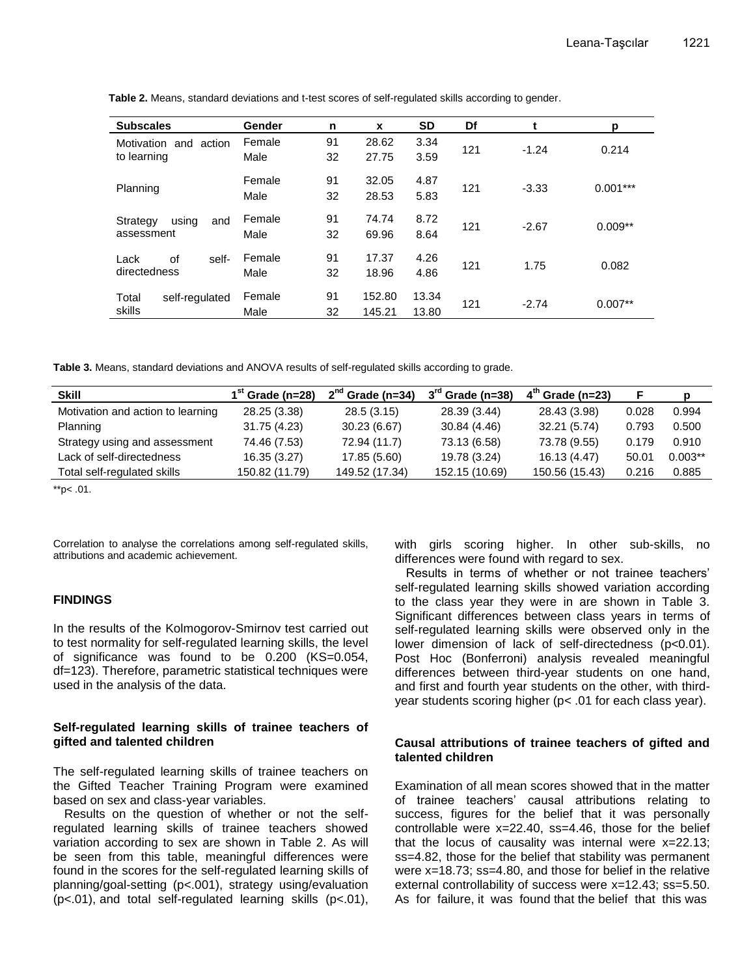| <b>Subscales</b>                           | Gender         | n        | X                | <b>SD</b>      | Df  | t       | р          |
|--------------------------------------------|----------------|----------|------------------|----------------|-----|---------|------------|
| Motivation<br>and<br>action<br>to learning | Female<br>Male | 91<br>32 | 28.62<br>27.75   | 3.34<br>3.59   | 121 | $-1.24$ | 0.214      |
| Planning                                   | Female<br>Male | 91<br>32 | 32.05<br>28.53   | 4.87<br>5.83   | 121 | $-3.33$ | $0.001***$ |
| using<br>Strategy<br>and<br>assessment     | Female<br>Male | 91<br>32 | 74.74<br>69.96   | 8.72<br>8.64   | 121 | $-2.67$ | $0.009**$  |
| self-<br>οf<br>Lack<br>directedness        | Female<br>Male | 91<br>32 | 17.37<br>18.96   | 4.26<br>4.86   | 121 | 1.75    | 0.082      |
| Total<br>self-regulated<br>skills          | Female<br>Male | 91<br>32 | 152.80<br>145.21 | 13.34<br>13.80 | 121 | $-2.74$ | $0.007**$  |

**Table 2.** Means, standard deviations and t-test scores of self-regulated skills according to gender.

**Table 3.** Means, standard deviations and ANOVA results of self-regulated skills according to grade.

| <b>Skill</b>                      | $1st$ Grade (n=28) | $2nd$ Grade (n=34) | $3^{\text{rd}}$ Grade (n=38) | $4th$ Grade (n=23) |       | p         |
|-----------------------------------|--------------------|--------------------|------------------------------|--------------------|-------|-----------|
| Motivation and action to learning | 28.25 (3.38)       | 28.5(3.15)         | 28.39 (3.44)                 | 28.43 (3.98)       | 0.028 | 0.994     |
| Planning                          | 31.75 (4.23)       | 30.23(6.67)        | 30.84 (4.46)                 | 32.21 (5.74)       | 0.793 | 0.500     |
| Strategy using and assessment     | 74.46 (7.53)       | 72.94 (11.7)       | 73.13 (6.58)                 | 73.78 (9.55)       | 0.179 | 0.910     |
| Lack of self-directedness         | 16.35 (3.27)       | 17.85 (5.60)       | 19.78 (3.24)                 | 16.13 (4.47)       | 50.01 | $0.003**$ |
| Total self-regulated skills       | 150.82 (11.79)     | 149.52 (17.34)     | 152.15 (10.69)               | 150.56 (15.43)     | 0.216 | 0.885     |

 $*$ <sub>p</sub> $< .01$ .

Correlation to analyse the correlations among self-regulated skills, attributions and academic achievement.

#### **FINDINGS**

In the results of the Kolmogorov-Smirnov test carried out to test normality for self-regulated learning skills, the level of significance was found to be 0.200 (KS=0.054, df=123). Therefore, parametric statistical techniques were used in the analysis of the data.

#### **Self-regulated learning skills of trainee teachers of gifted and talented children**

The self-regulated learning skills of trainee teachers on the Gifted Teacher Training Program were examined based on sex and class-year variables.

Results on the question of whether or not the selfregulated learning skills of trainee teachers showed variation according to sex are shown in Table 2. As will be seen from this table, meaningful differences were found in the scores for the self-regulated learning skills of planning/goal-setting (p<.001), strategy using/evaluation (p<.01), and total self-regulated learning skills (p<.01), with girls scoring higher. In other sub-skills, no differences were found with regard to sex.

Results in terms of whether or not trainee teachers' self-regulated learning skills showed variation according to the class year they were in are shown in Table 3. Significant differences between class years in terms of self-regulated learning skills were observed only in the lower dimension of lack of self-directedness (p<0.01). Post Hoc (Bonferroni) analysis revealed meaningful differences between third-year students on one hand, and first and fourth year students on the other, with thirdyear students scoring higher (p< .01 for each class year).

#### **Causal attributions of trainee teachers of gifted and talented children**

Examination of all mean scores showed that in the matter of trainee teachers' causal attributions relating to success, figures for the belief that it was personally controllable were  $x=22.40$ ,  $ss=4.46$ , those for the belief that the locus of causality was internal were x=22.13; ss=4.82, those for the belief that stability was permanent were x=18.73; ss=4.80, and those for belief in the relative external controllability of success were x=12.43; ss=5.50. As for failure, it was found that the belief that this was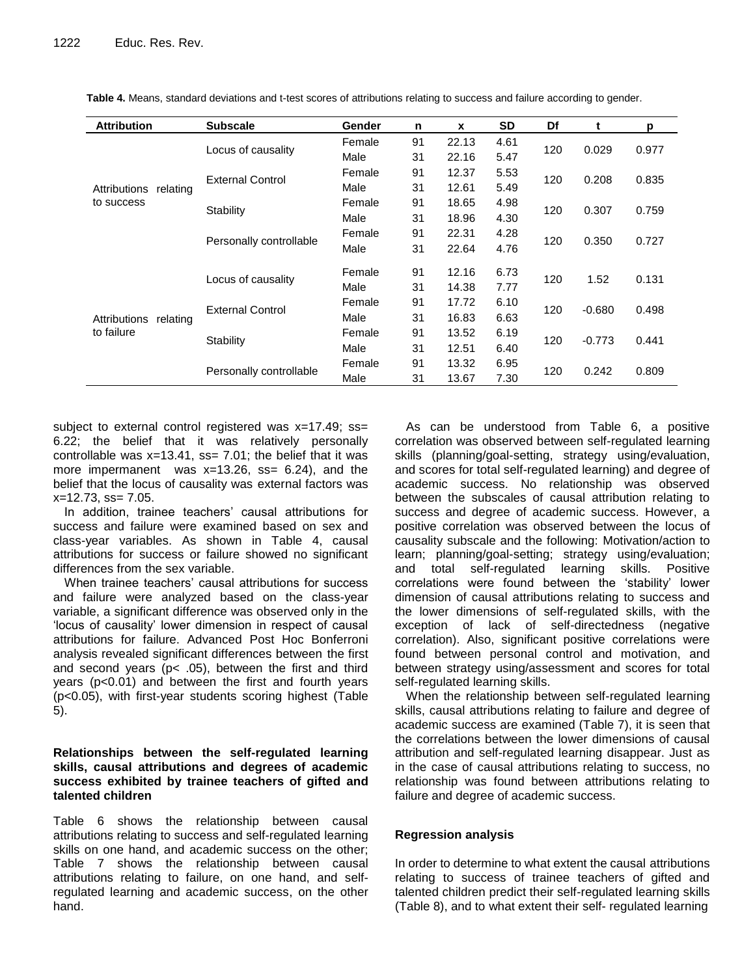| <b>Attribution</b>       | <b>Subscale</b>         | <b>Gender</b> | n  | X     | <b>SD</b> | Df  | t        | p     |
|--------------------------|-------------------------|---------------|----|-------|-----------|-----|----------|-------|
|                          |                         | Female        | 91 | 22.13 | 4.61      |     |          |       |
|                          | Locus of causality      | Male          | 31 | 22.16 | 5.47      | 120 | 0.029    | 0.977 |
|                          | <b>External Control</b> | Female        | 91 | 12.37 | 5.53      | 120 | 0.208    | 0.835 |
| Attributions<br>relating |                         | Male          | 31 | 12.61 | 5.49      |     |          |       |
| to success               |                         | Female        | 91 | 18.65 | 4.98      | 120 | 0.307    | 0.759 |
|                          | Stability               | Male          | 31 | 18.96 | 4.30      |     |          |       |
|                          |                         | Female        | 91 | 22.31 | 4.28      |     |          |       |
|                          | Personally controllable | Male          | 31 | 22.64 | 4.76      | 120 | 0.350    | 0.727 |
|                          |                         | Female        | 91 | 12.16 | 6.73      | 120 | 1.52     | 0.131 |
|                          | Locus of causality      | Male          | 31 | 14.38 | 7.77      |     |          |       |
|                          | <b>External Control</b> | Female        | 91 | 17.72 | 6.10      |     | $-0.680$ | 0.498 |
| Attributions<br>relating |                         | Male          | 31 | 16.83 | 6.63      | 120 |          |       |
| to failure               |                         | Female        | 91 | 13.52 | 6.19      |     |          |       |
|                          | Stability               | Male          | 31 | 12.51 | 6.40      | 120 | $-0.773$ | 0.441 |
|                          |                         | Female        | 91 | 13.32 | 6.95      |     |          |       |
|                          | Personally controllable | Male          | 31 | 13.67 | 7.30      | 120 | 0.242    | 0.809 |

**Table 4.** Means, standard deviations and t-test scores of attributions relating to success and failure according to gender.

subject to external control registered was x=17.49; ss= 6.22; the belief that it was relatively personally controllable was  $x=13.41$ ,  $ss= 7.01$ ; the belief that it was more impermanent was  $x=13.26$ ,  $ss= 6.24$ ), and the belief that the locus of causality was external factors was  $x=12.73$ ,  $ss= 7.05$ .

In addition, trainee teachers' causal attributions for success and failure were examined based on sex and class-year variables. As shown in Table 4, causal attributions for success or failure showed no significant differences from the sex variable.

When trainee teachers' causal attributions for success and failure were analyzed based on the class-year variable, a significant difference was observed only in the 'locus of causality' lower dimension in respect of causal attributions for failure. Advanced Post Hoc Bonferroni analysis revealed significant differences between the first and second years ( $p$ < .05), between the first and third years (p<0.01) and between the first and fourth years (p<0.05), with first-year students scoring highest (Table 5).

## **Relationships between the self-regulated learning skills, causal attributions and degrees of academic success exhibited by trainee teachers of gifted and talented children**

Table 6 shows the relationship between causal attributions relating to success and self-regulated learning skills on one hand, and academic success on the other; Table 7 shows the relationship between causal attributions relating to failure, on one hand, and selfregulated learning and academic success, on the other hand.

As can be understood from Table 6, a positive correlation was observed between self-regulated learning skills (planning/goal-setting, strategy using/evaluation, and scores for total self-regulated learning) and degree of academic success. No relationship was observed between the subscales of causal attribution relating to success and degree of academic success. However, a positive correlation was observed between the locus of causality subscale and the following: Motivation/action to learn; planning/goal-setting; strategy using/evaluation; and total self-regulated learning skills. Positive correlations were found between the 'stability' lower dimension of causal attributions relating to success and the lower dimensions of self-regulated skills, with the exception of lack of self-directedness (negative correlation). Also, significant positive correlations were found between personal control and motivation, and between strategy using/assessment and scores for total self-regulated learning skills.

When the relationship between self-regulated learning skills, causal attributions relating to failure and degree of academic success are examined (Table 7), it is seen that the correlations between the lower dimensions of causal attribution and self-regulated learning disappear. Just as in the case of causal attributions relating to success, no relationship was found between attributions relating to failure and degree of academic success.

## **Regression analysis**

In order to determine to what extent the causal attributions relating to success of trainee teachers of gifted and talented children predict their self-regulated learning skills (Table 8), and to what extent their self- regulated learning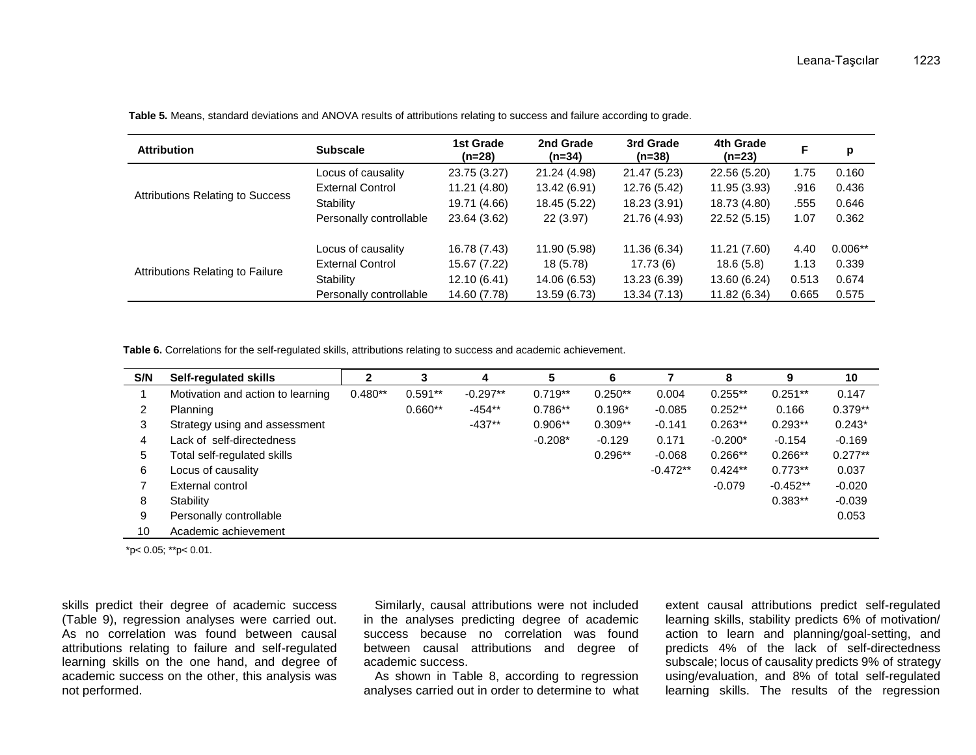| <b>Attribution</b>                      | <b>Subscale</b>         | 1st Grade<br>(n=28) | 2nd Grade<br>$(n=34)$ | 3rd Grade<br>$(n=38)$ | 4th Grade<br>(n=23) | F     | p         |
|-----------------------------------------|-------------------------|---------------------|-----------------------|-----------------------|---------------------|-------|-----------|
|                                         | Locus of causality      | 23.75 (3.27)        | 21.24 (4.98)          | 21.47 (5.23)          | 22.56 (5.20)        | 1.75  | 0.160     |
|                                         | <b>External Control</b> | 11.21 (4.80)        | 13.42 (6.91)          | 12.76 (5.42)          | 11.95 (3.93)        | .916  | 0.436     |
| <b>Attributions Relating to Success</b> | Stability               | 19.71 (4.66)        | 18.45 (5.22)          | 18.23 (3.91)          | 18.73 (4.80)        | .555  | 0.646     |
|                                         | Personally controllable | 23.64 (3.62)        | 22 (3.97)             | 21.76 (4.93)          | 22.52(5.15)         | 1.07  | 0.362     |
|                                         | Locus of causality      | 16.78 (7.43)        | 11.90 (5.98)          | 11.36 (6.34)          | 11.21 (7.60)        | 4.40  | $0.006**$ |
| Attributions Relating to Failure        | <b>External Control</b> | 15.67 (7.22)        | 18 (5.78)             | 17.73(6)              | 18.6(5.8)           | 1.13  | 0.339     |
|                                         | Stability               | 12.10 (6.41)        | 14.06 (6.53)          | 13.23 (6.39)          | 13.60 (6.24)        | 0.513 | 0.674     |
|                                         | Personally controllable | 14.60 (7.78)        | 13.59 (6.73)          | 13.34 (7.13)          | 11.82 (6.34)        | 0.665 | 0.575     |

**Table 5.** Means, standard deviations and ANOVA results of attributions relating to success and failure according to grade.

**Table 6.** Correlations for the self-regulated skills, attributions relating to success and academic achievement.

| S/N            | <b>Self-regulated skills</b>      |           | 3         | 4          | 5         | 6         |            | 8         | 9          | 10        |
|----------------|-----------------------------------|-----------|-----------|------------|-----------|-----------|------------|-----------|------------|-----------|
|                | Motivation and action to learning | $0.480**$ | $0.591**$ | $-0.297**$ | $0.719**$ | $0.250**$ | 0.004      | $0.255**$ | $0.251**$  | 0.147     |
| $\overline{2}$ | Planning                          |           | $0.660**$ | $-454**$   | $0.786**$ | $0.196*$  | $-0.085$   | $0.252**$ | 0.166      | $0.379**$ |
| 3              | Strategy using and assessment     |           |           | $-437**$   | $0.906**$ | $0.309**$ | $-0.141$   | $0.263**$ | $0.293**$  | $0.243*$  |
| 4              | Lack of self-directedness         |           |           |            | $-0.208*$ | $-0.129$  | 0.171      | $-0.200*$ | $-0.154$   | $-0.169$  |
| 5              | Total self-regulated skills       |           |           |            |           | $0.296**$ | $-0.068$   | $0.266**$ | $0.266**$  | $0.277**$ |
| 6              | Locus of causality                |           |           |            |           |           | $-0.472**$ | $0.424**$ | $0.773**$  | 0.037     |
|                | External control                  |           |           |            |           |           |            | $-0.079$  | $-0.452**$ | $-0.020$  |
| 8              | Stability                         |           |           |            |           |           |            |           | $0.383**$  | $-0.039$  |
| 9              | Personally controllable           |           |           |            |           |           |            |           |            | 0.053     |
| 10             | Academic achievement              |           |           |            |           |           |            |           |            |           |

\*p< 0.05; \*\*p< 0.01.

skills predict their degree of academic success (Table 9), regression analyses were carried out. As no correlation was found between causal attributions relating to failure and self-regulated learning skills on the one hand, and degree of academic success on the other, this analysis was not performed.

Similarly, causal attributions were not included in the analyses predicting degree of academic success because no correlation was found between causal attributions and degree of academic success.

As shown in Table 8, according to regression analyses carried out in order to determine to what

extent causal attributions predict self-regulated learning skills, stability predicts 6% of motivation/ action to learn and planning/goal-setting, and predicts 4% of the lack of self-directedness subscale; locus of causality predicts 9% of strategy using/evaluation, and 8% of total self-regulated learning skills. The results of the regression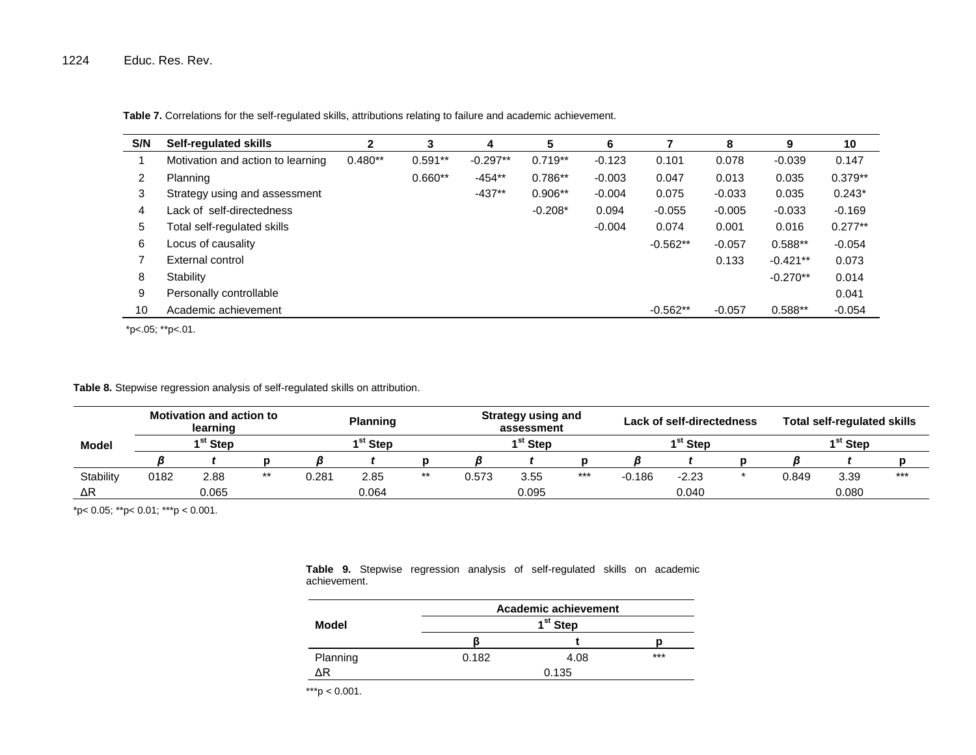**Table 7.** Correlations for the self-regulated skills, attributions relating to failure and academic achievement.

| S/N | <b>Self-regulated skills</b>      | 2         | 3         | 4          | 5         | 6        |            | 8        | 9          | 10        |
|-----|-----------------------------------|-----------|-----------|------------|-----------|----------|------------|----------|------------|-----------|
|     | Motivation and action to learning | $0.480**$ | $0.591**$ | $-0.297**$ | $0.719**$ | $-0.123$ | 0.101      | 0.078    | $-0.039$   | 0.147     |
| 2   | Planning                          |           | $0.660**$ | $-454**$   | $0.786**$ | $-0.003$ | 0.047      | 0.013    | 0.035      | $0.379**$ |
| 3   | Strategy using and assessment     |           |           | $-437**$   | $0.906**$ | $-0.004$ | 0.075      | $-0.033$ | 0.035      | $0.243*$  |
| 4   | Lack of self-directedness         |           |           |            | $-0.208*$ | 0.094    | $-0.055$   | $-0.005$ | $-0.033$   | $-0.169$  |
| 5   | Fotal self-regulated skills       |           |           |            |           | $-0.004$ | 0.074      | 0.001    | 0.016      | $0.277**$ |
| 6   | Locus of causality                |           |           |            |           |          | $-0.562**$ | $-0.057$ | $0.588**$  | $-0.054$  |
|     | External control                  |           |           |            |           |          |            | 0.133    | $-0.421**$ | 0.073     |
| 8   | Stability                         |           |           |            |           |          |            |          | $-0.270**$ | 0.014     |
| 9   | Personally controllable           |           |           |            |           |          |            |          |            | 0.041     |
| 10  | Academic achievement              |           |           |            |           |          | $-0.562**$ | $-0.057$ | 0.588**    | $-0.054$  |

\*p<.05; \*\*p<.01.

**Table 8.** Stepwise regression analysis of self-regulated skills on attribution.

|                  |      | <b>Motivation and action to</b><br>learning |       |       | <b>Planning</b>    |       |       | <b>Strategy using and</b><br>assessment |       |          | <b>Lack of self-directedness</b> |       | <b>Total self-regulated skills</b> |       |
|------------------|------|---------------------------------------------|-------|-------|--------------------|-------|-------|-----------------------------------------|-------|----------|----------------------------------|-------|------------------------------------|-------|
| <b>Model</b>     |      | 1 <sup>st</sup> Step                        |       |       | <sup>st</sup> Step |       |       | 1 <sup>st</sup> Step                    |       |          | 1 <sup>st</sup> Step             |       | 1 <sup>st</sup> Step               |       |
|                  |      |                                             |       |       |                    |       |       |                                         |       |          |                                  |       |                                    |       |
| <b>Stability</b> | 0182 | 2.88                                        | $***$ | 0.281 | 2.85               | $***$ | 0.573 | 3.55                                    | $***$ | $-0.186$ | $-2.23$                          | 0.849 | 3.39                               | $***$ |
| ΔR               |      | 0.065                                       |       |       | 0.064              |       |       | 0.095                                   |       |          | 0.040                            |       | 0.080                              |       |

\*p< 0.05; \*\*p< 0.01; \*\*\*p < 0.001.

|          |       | Academic achievement |       |
|----------|-------|----------------------|-------|
| Model    |       | 1 <sup>st</sup> Step |       |
|          | B     |                      |       |
| Planning | 0.182 | 4.08                 | $***$ |
| ΛR       |       | 0.135                |       |

**Table 9.** Stepwise regression analysis of self-regulated skills on academic achievement.

\*\*\*p < 0.001.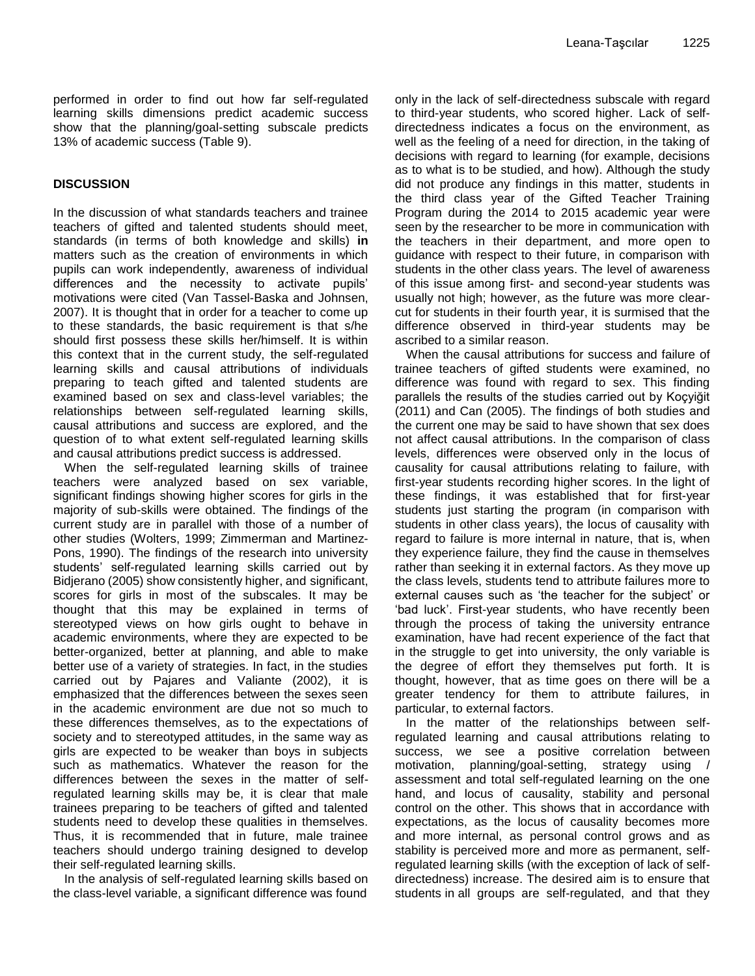performed in order to find out how far self-regulated learning skills dimensions predict academic success show that the planning/goal-setting subscale predicts 13% of academic success (Table 9).

## **DISCUSSION**

In the discussion of what standards teachers and trainee teachers of gifted and talented students should meet, standards (in terms of both knowledge and skills) **in** matters such as the creation of environments in which pupils can work independently, awareness of individual differences and the necessity to activate pupils' motivations were cited (Van Tassel-Baska and Johnsen, 2007). It is thought that in order for a teacher to come up to these standards, the basic requirement is that s/he should first possess these skills her/himself. It is within this context that in the current study, the self-regulated learning skills and causal attributions of individuals preparing to teach gifted and talented students are examined based on sex and class-level variables; the relationships between self-regulated learning skills, causal attributions and success are explored, and the question of to what extent self-regulated learning skills and causal attributions predict success is addressed.

When the self-regulated learning skills of trainee teachers were analyzed based on sex variable, significant findings showing higher scores for girls in the majority of sub-skills were obtained. The findings of the current study are in parallel with those of a number of other studies (Wolters, 1999; Zimmerman and Martinez-Pons, 1990). The findings of the research into university students' self-regulated learning skills carried out by Bidjerano (2005) show consistently higher, and significant, scores for girls in most of the subscales. It may be thought that this may be explained in terms of stereotyped views on how girls ought to behave in academic environments, where they are expected to be better-organized, better at planning, and able to make better use of a variety of strategies. In fact, in the studies carried out by Pajares and Valiante (2002), it is emphasized that the differences between the sexes seen in the academic environment are due not so much to these differences themselves, as to the expectations of society and to stereotyped attitudes, in the same way as girls are expected to be weaker than boys in subjects such as mathematics. Whatever the reason for the differences between the sexes in the matter of selfregulated learning skills may be, it is clear that male trainees preparing to be teachers of gifted and talented students need to develop these qualities in themselves. Thus, it is recommended that in future, male trainee teachers should undergo training designed to develop their self-regulated learning skills.

In the analysis of self-regulated learning skills based on the class-level variable, a significant difference was found only in the lack of self-directedness subscale with regard to third-year students, who scored higher. Lack of selfdirectedness indicates a focus on the environment, as well as the feeling of a need for direction, in the taking of decisions with regard to learning (for example, decisions as to what is to be studied, and how). Although the study did not produce any findings in this matter, students in the third class year of the Gifted Teacher Training Program during the 2014 to 2015 academic year were seen by the researcher to be more in communication with the teachers in their department, and more open to guidance with respect to their future, in comparison with students in the other class years. The level of awareness of this issue among first- and second-year students was usually not high; however, as the future was more clearcut for students in their fourth year, it is surmised that the difference observed in third-year students may be ascribed to a similar reason.

When the causal attributions for success and failure of trainee teachers of gifted students were examined, no difference was found with regard to sex. This finding parallels the results of the studies carried out by Koçyiğit (2011) and Can (2005). The findings of both studies and the current one may be said to have shown that sex does not affect causal attributions. In the comparison of class levels, differences were observed only in the locus of causality for causal attributions relating to failure, with first-year students recording higher scores. In the light of these findings, it was established that for first-year students just starting the program (in comparison with students in other class years), the locus of causality with regard to failure is more internal in nature, that is, when they experience failure, they find the cause in themselves rather than seeking it in external factors. As they move up the class levels, students tend to attribute failures more to external causes such as 'the teacher for the subject' or 'bad luck'. First-year students, who have recently been through the process of taking the university entrance examination, have had recent experience of the fact that in the struggle to get into university, the only variable is the degree of effort they themselves put forth. It is thought, however, that as time goes on there will be a greater tendency for them to attribute failures, in particular, to external factors.

In the matter of the relationships between selfregulated learning and causal attributions relating to success, we see a positive correlation between motivation, planning/goal-setting, strategy using / assessment and total self-regulated learning on the one hand, and locus of causality, stability and personal control on the other. This shows that in accordance with expectations, as the locus of causality becomes more and more internal, as personal control grows and as stability is perceived more and more as permanent, selfregulated learning skills (with the exception of lack of selfdirectedness) increase. The desired aim is to ensure that students in all groups are self-regulated, and that they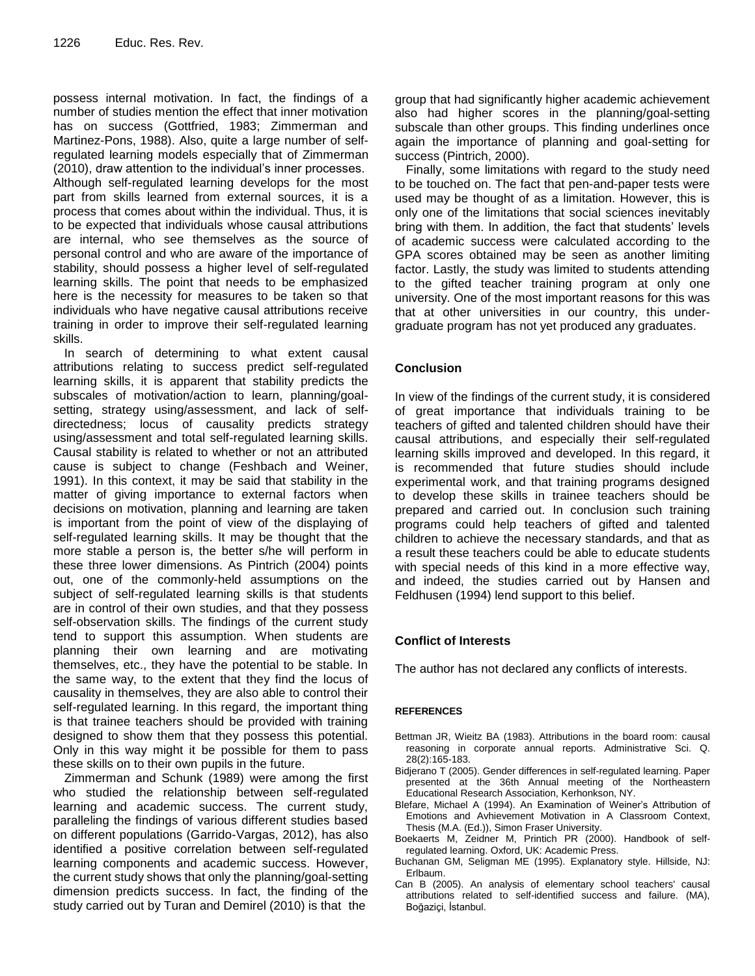possess internal motivation. In fact, the findings of a number of studies mention the effect that inner motivation has on success (Gottfried, 1983; Zimmerman and Martinez-Pons, 1988). Also, quite a large number of selfregulated learning models especially that of Zimmerman (2010), draw attention to the individual's inner processes. Although self-regulated learning develops for the most part from skills learned from external sources, it is a process that comes about within the individual. Thus, it is to be expected that individuals whose causal attributions are internal, who see themselves as the source of personal control and who are aware of the importance of stability, should possess a higher level of self-regulated learning skills. The point that needs to be emphasized here is the necessity for measures to be taken so that individuals who have negative causal attributions receive training in order to improve their self-regulated learning skills.

In search of determining to what extent causal attributions relating to success predict self-regulated learning skills, it is apparent that stability predicts the subscales of motivation/action to learn, planning/goalsetting, strategy using/assessment, and lack of selfdirectedness; locus of causality predicts strategy using/assessment and total self-regulated learning skills. Causal stability is related to whether or not an attributed cause is subject to change (Feshbach and Weiner, 1991). In this context, it may be said that stability in the matter of giving importance to external factors when decisions on motivation, planning and learning are taken is important from the point of view of the displaying of self-regulated learning skills. It may be thought that the more stable a person is, the better s/he will perform in these three lower dimensions. As Pintrich (2004) points out, one of the commonly-held assumptions on the subject of self-regulated learning skills is that students are in control of their own studies, and that they possess self-observation skills. The findings of the current study tend to support this assumption. When students are planning their own learning and are motivating themselves, etc., they have the potential to be stable. In the same way, to the extent that they find the locus of causality in themselves, they are also able to control their self-regulated learning. In this regard, the important thing is that trainee teachers should be provided with training designed to show them that they possess this potential. Only in this way might it be possible for them to pass these skills on to their own pupils in the future.

Zimmerman and Schunk (1989) were among the first who studied the relationship between self-regulated learning and academic success. The current study, paralleling the findings of various different studies based on different populations (Garrido-Vargas, 2012), has also identified a positive correlation between self-regulated learning components and academic success. However, the current study shows that only the planning/goal-setting dimension predicts success. In fact, the finding of the study carried out by Turan and Demirel (2010) is that the

group that had significantly higher academic achievement also had higher scores in the planning/goal-setting subscale than other groups. This finding underlines once again the importance of planning and goal-setting for success (Pintrich, 2000).

Finally, some limitations with regard to the study need to be touched on. The fact that pen-and-paper tests were used may be thought of as a limitation. However, this is only one of the limitations that social sciences inevitably bring with them. In addition, the fact that students' levels of academic success were calculated according to the GPA scores obtained may be seen as another limiting factor. Lastly, the study was limited to students attending to the gifted teacher training program at only one university. One of the most important reasons for this was that at other universities in our country, this undergraduate program has not yet produced any graduates.

## **Conclusion**

In view of the findings of the current study, it is considered of great importance that individuals training to be teachers of gifted and talented children should have their causal attributions, and especially their self-regulated learning skills improved and developed. In this regard, it is recommended that future studies should include experimental work, and that training programs designed to develop these skills in trainee teachers should be prepared and carried out. In conclusion such training programs could help teachers of gifted and talented children to achieve the necessary standards, and that as a result these teachers could be able to educate students with special needs of this kind in a more effective way, and indeed, the studies carried out by Hansen and Feldhusen (1994) lend support to this belief.

## **Conflict of Interests**

The author has not declared any conflicts of interests.

#### **REFERENCES**

- Bettman JR, Wieitz BA (1983). Attributions in the board room: causal reasoning in corporate annual reports. Administrative Sci. Q. 28(2):165-183.
- Bidjerano T (2005). Gender differences in self-regulated learning. Paper presented at the 36th Annual meeting of the Northeastern Educational Research Association, Kerhonkson, NY.
- Blefare, Michael A (1994). An Examination of Weiner's Attribution of Emotions and Avhievement Motivation in A Classroom Context, Thesis (M.A. (Ed.)), Simon Fraser University.
- Boekaerts M, Zeidner M, Printich PR (2000). Handbook of selfregulated learning. Oxford, UK: Academic Press.
- Buchanan GM, Seligman ME (1995). Explanatory style. Hillside, NJ: Erlbaum.
- Can B (2005). An analysis of elementary school teachers' causal attributions related to self-identified success and failure. (MA), Boğaziçi, İstanbul.